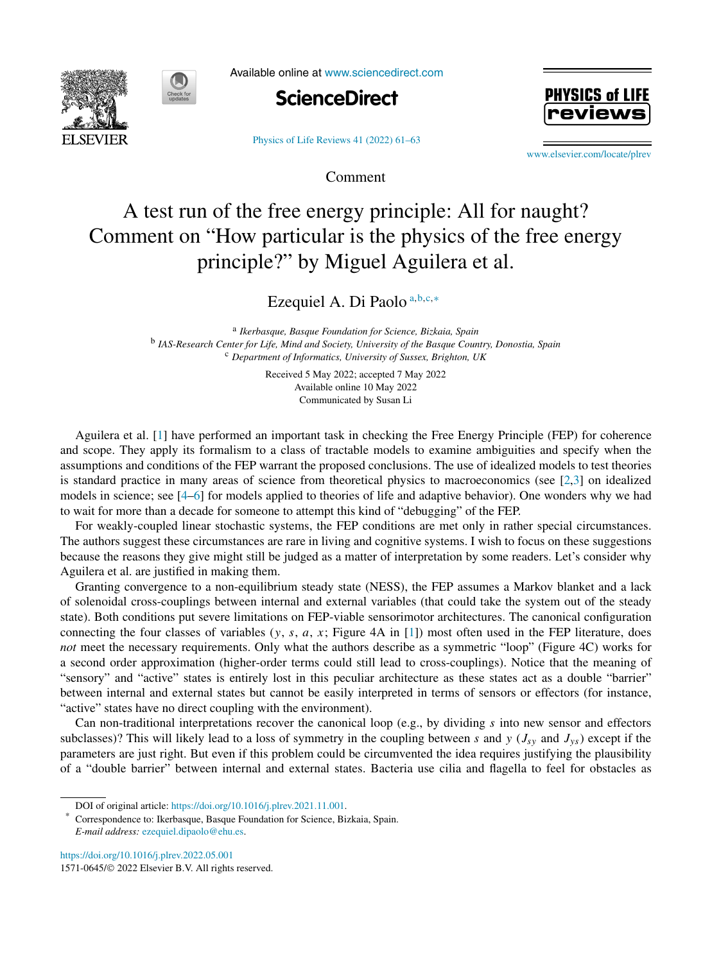



Available online at [www.sciencedirect.com](http://www.sciencedirect.com)



[Physics of Life Reviews 41 \(2022\) 61–63](https://doi.org/10.1016/j.plrev.2022.05.001)

**PHYSICS of LI** 

[www.elsevier.com/locate/plrev](http://www.elsevier.com/locate/plrev)

## A test run of the free energy principle: All for naught? Comment on "How particular is the physics of the free energy principle?" by Miguel Aguilera et al.

Comment

Ezequiel A. Di Paolo <sup>a</sup>*,*b*,*c*,*<sup>∗</sup>

<sup>a</sup> *Ikerbasque, Basque Foundation for Science, Bizkaia, Spain* <sup>b</sup> *IAS-Research Center for Life, Mind and Society, University of the Basque Country, Donostia, Spain* <sup>c</sup> *Department of Informatics, University of Sussex, Brighton, UK*

> Received 5 May 2022; accepted 7 May 2022 Available online 10 May 2022 Communicated by Susan Li

Aguilera et al. [\[1](#page-1-0)] have performed an important task in checking the Free Energy Principle (FEP) for coherence and scope. They apply its formalism to a class of tractable models to examine ambiguities and specify when the assumptions and conditions of the FEP warrant the proposed conclusions. The use of idealized models to test theories is standard practice in many areas of science from theoretical physics to macroeconomics (see [\[2](#page-1-0),[3\]](#page-1-0) on idealized models in science; see [\[4](#page-1-0)[–6](#page-2-0)] for models applied to theories of life and adaptive behavior). One wonders why we had to wait for more than a decade for someone to attempt this kind of "debugging" of the FEP.

For weakly-coupled linear stochastic systems, the FEP conditions are met only in rather special circumstances. The authors suggest these circumstances are rare in living and cognitive systems. I wish to focus on these suggestions because the reasons they give might still be judged as a matter of interpretation by some readers. Let's consider why Aguilera et al. are justified in making them.

Granting convergence to a non-equilibrium steady state (NESS), the FEP assumes a Markov blanket and a lack of solenoidal cross-couplings between internal and external variables (that could take the system out of the steady state). Both conditions put severe limitations on FEP-viable sensorimotor architectures. The canonical configuration connecting the four classes of variables (*y*, *s*, *a*, *x*; Figure 4A in [[1\]](#page-1-0)) most often used in the FEP literature, does *not* meet the necessary requirements. Only what the authors describe as a symmetric "loop" (Figure 4C) works for a second order approximation (higher-order terms could still lead to cross-couplings). Notice that the meaning of "sensory" and "active" states is entirely lost in this peculiar architecture as these states act as a double "barrier" between internal and external states but cannot be easily interpreted in terms of sensors or effectors (for instance, "active" states have no direct coupling with the environment).

Can non-traditional interpretations recover the canonical loop (e.g., by dividing *s* into new sensor and effectors subclasses)? This will likely lead to a loss of symmetry in the coupling between *s* and *y* ( $J_{sy}$  and  $J_{ys}$ ) except if the parameters are just right. But even if this problem could be circumvented the idea requires justifying the plausibility of a "double barrier" between internal and external states. Bacteria use cilia and flagella to feel for obstacles as

<https://doi.org/10.1016/j.plrev.2022.05.001> 1571-0645/© 2022 Elsevier B.V. All rights reserved.

DOI of original article: <https://doi.org/10.1016/j.plrev.2021.11.001>.

Correspondence to: Ikerbasque, Basque Foundation for Science, Bizkaia, Spain. *E-mail address:* [ezequiel.dipaolo@ehu.es.](mailto:ezequiel.dipaolo@ehu.es)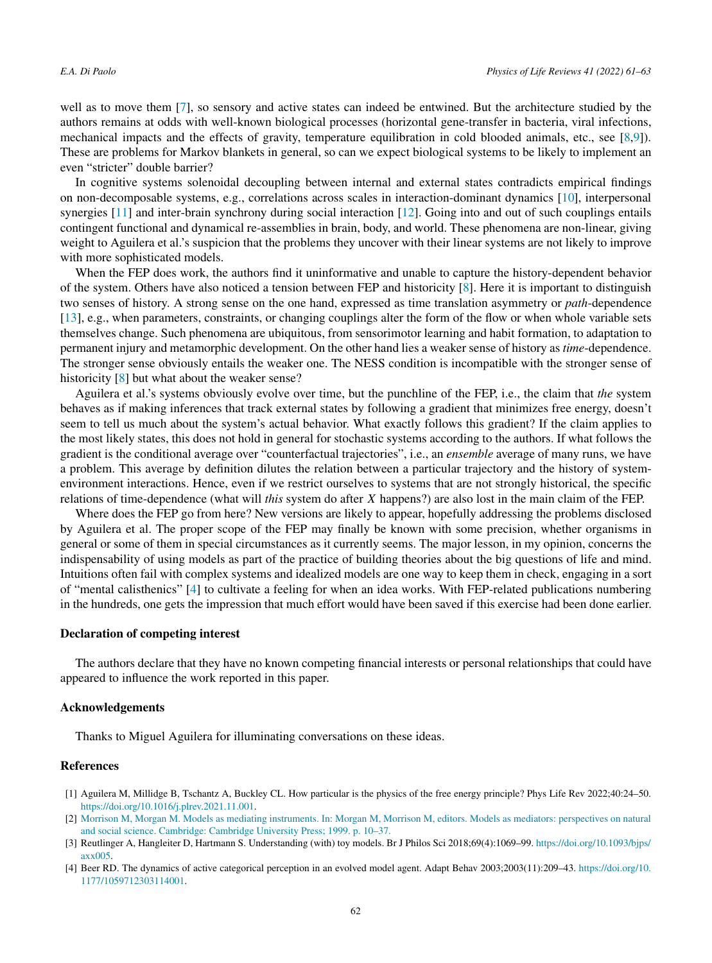<span id="page-1-0"></span>well as to move them [\[7\]](#page-2-0), so sensory and active states can indeed be entwined. But the architecture studied by the authors remains at odds with well-known biological processes (horizontal gene-transfer in bacteria, viral infections, mechanical impacts and the effects of gravity, temperature equilibration in cold blooded animals, etc., see [[8,9](#page-2-0)]). These are problems for Markov blankets in general, so can we expect biological systems to be likely to implement an even "stricter" double barrier?

In cognitive systems solenoidal decoupling between internal and external states contradicts empirical findings on non-decomposable systems, e.g., correlations across scales in interaction-dominant dynamics [[10\]](#page-2-0), interpersonal synergies [\[11\]](#page-2-0) and inter-brain synchrony during social interaction [\[12](#page-2-0)]. Going into and out of such couplings entails contingent functional and dynamical re-assemblies in brain, body, and world. These phenomena are non-linear, giving weight to Aguilera et al.'s suspicion that the problems they uncover with their linear systems are not likely to improve with more sophisticated models.

When the FEP does work, the authors find it uninformative and unable to capture the history-dependent behavior of the system. Others have also noticed a tension between FEP and historicity [[8\]](#page-2-0). Here it is important to distinguish two senses of history. A strong sense on the one hand, expressed as time translation asymmetry or *path*-dependence [\[13](#page-2-0)], e.g., when parameters, constraints, or changing couplings alter the form of the flow or when whole variable sets themselves change. Such phenomena are ubiquitous, from sensorimotor learning and habit formation, to adaptation to permanent injury and metamorphic development. On the other hand lies a weaker sense of history as *time*-dependence. The stronger sense obviously entails the weaker one. The NESS condition is incompatible with the stronger sense of historicity [\[8](#page-2-0)] but what about the weaker sense?

Aguilera et al.'s systems obviously evolve over time, but the punchline of the FEP, i.e., the claim that *the* system behaves as if making inferences that track external states by following a gradient that minimizes free energy, doesn't seem to tell us much about the system's actual behavior. What exactly follows this gradient? If the claim applies to the most likely states, this does not hold in general for stochastic systems according to the authors. If what follows the gradient is the conditional average over "counterfactual trajectories", i.e., an *ensemble* average of many runs, we have a problem. This average by definition dilutes the relation between a particular trajectory and the history of systemenvironment interactions. Hence, even if we restrict ourselves to systems that are not strongly historical, the specific relations of time-dependence (what will *this* system do after *X* happens?) are also lost in the main claim of the FEP.

Where does the FEP go from here? New versions are likely to appear, hopefully addressing the problems disclosed by Aguilera et al. The proper scope of the FEP may finally be known with some precision, whether organisms in general or some of them in special circumstances as it currently seems. The major lesson, in my opinion, concerns the indispensability of using models as part of the practice of building theories about the big questions of life and mind. Intuitions often fail with complex systems and idealized models are one way to keep them in check, engaging in a sort of "mental calisthenics" [4] to cultivate a feeling for when an idea works. With FEP-related publications numbering in the hundreds, one gets the impression that much effort would have been saved if this exercise had been done earlier.

## **Declaration of competing interest**

The authors declare that they have no known competing financial interests or personal relationships that could have appeared to influence the work reported in this paper.

## **Acknowledgements**

Thanks to Miguel Aguilera for illuminating conversations on these ideas.

## **References**

- [1] Aguilera M, Millidge B, Tschantz A, Buckley CL. How particular is the physics of the free energy principle? Phys Life Rev 2022;40:24–50. [https://doi.org/10.1016/j.plrev.2021.11.001.](https://doi.org/10.1016/j.plrev.2021.11.001)
- [2] Morrison M, Morgan M. Models as mediating instruments. In: Morgan M, [Morrison M,](http://refhub.elsevier.com/S1571-0645(22)00016-1/bibC81E728D9D4C2F636F067F89CC14862Cs1) editors. Models as mediators: perspectives on natural and social science. [Cambridge:](http://refhub.elsevier.com/S1571-0645(22)00016-1/bibC81E728D9D4C2F636F067F89CC14862Cs1) Cambridge University Press; 1999. p. 10–37.
- [3] Reutlinger A, Hangleiter D, Hartmann S. Understanding (with) toy models. Br J Philos Sci 2018;69(4):1069–99. [https://doi.org/10.1093/bjps/](https://doi.org/10.1093/bjps/axx005)  $axx005$ .
- [4] Beer RD. The dynamics of active categorical perception in an evolved model agent. Adapt Behav 2003;2003(11):209–43. [https://doi.org/10.](https://doi.org/10.1177/1059712303114001) [1177/1059712303114001](https://doi.org/10.1177/1059712303114001).